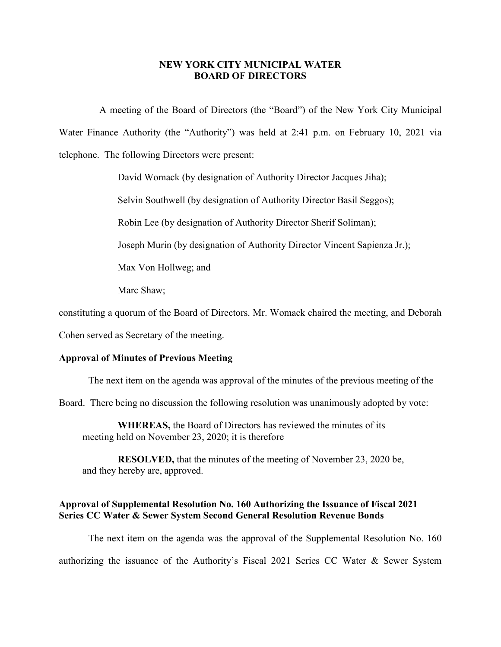#### **NEW YORK CITY MUNICIPAL WATER BOARD OF DIRECTORS**

A meeting of the Board of Directors (the "Board") of the New York City Municipal Water Finance Authority (the "Authority") was held at 2:41 p.m. on February 10, 2021 via telephone. The following Directors were present:

David Womack (by designation of Authority Director Jacques Jiha);

Selvin Southwell (by designation of Authority Director Basil Seggos);

Robin Lee (by designation of Authority Director Sherif Soliman);

Joseph Murin (by designation of Authority Director Vincent Sapienza Jr.);

Max Von Hollweg; and

Marc Shaw;

constituting a quorum of the Board of Directors. Mr. Womack chaired the meeting, and Deborah

Cohen served as Secretary of the meeting.

#### **Approval of Minutes of Previous Meeting**

The next item on the agenda was approval of the minutes of the previous meeting of the

Board. There being no discussion the following resolution was unanimously adopted by vote:

**WHEREAS,** the Board of Directors has reviewed the minutes of its meeting held on November 23, 2020; it is therefore

**RESOLVED,** that the minutes of the meeting of November 23, 2020 be, and they hereby are, approved.

### **Approval of Supplemental Resolution No. 160 Authorizing the Issuance of Fiscal 2021 Series CC Water & Sewer System Second General Resolution Revenue Bonds**

The next item on the agenda was the approval of the Supplemental Resolution No. 160 authorizing the issuance of the Authority's Fiscal 2021 Series CC Water & Sewer System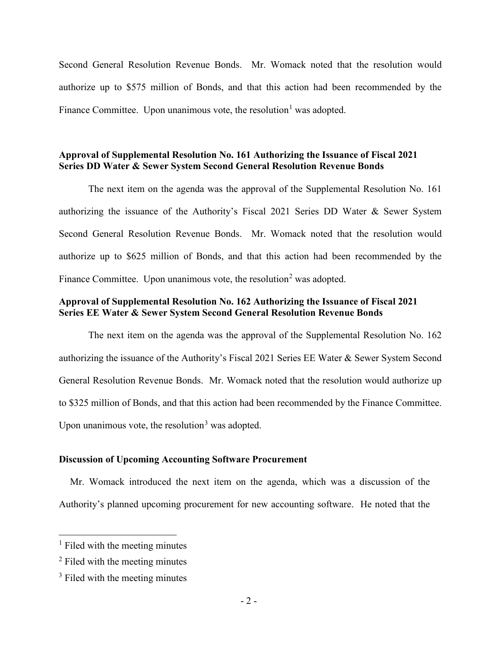Second General Resolution Revenue Bonds. Mr. Womack noted that the resolution would authorize up to \$575 million of Bonds, and that this action had been recommended by the Finance Committee. Upon unanimous vote, the resolution<sup>[1](#page-1-0)</sup> was adopted.

### **Approval of Supplemental Resolution No. 161 Authorizing the Issuance of Fiscal 2021 Series DD Water & Sewer System Second General Resolution Revenue Bonds**

The next item on the agenda was the approval of the Supplemental Resolution No. 161 authorizing the issuance of the Authority's Fiscal 2021 Series DD Water & Sewer System Second General Resolution Revenue Bonds. Mr. Womack noted that the resolution would authorize up to \$625 million of Bonds, and that this action had been recommended by the Finance Committee. Upon unanimous vote, the resolution<sup>[2](#page-1-1)</sup> was adopted.

# **Approval of Supplemental Resolution No. 162 Authorizing the Issuance of Fiscal 2021 Series EE Water & Sewer System Second General Resolution Revenue Bonds**

The next item on the agenda was the approval of the Supplemental Resolution No. 162 authorizing the issuance of the Authority's Fiscal 2021 Series EE Water & Sewer System Second General Resolution Revenue Bonds. Mr. Womack noted that the resolution would authorize up to \$325 million of Bonds, and that this action had been recommended by the Finance Committee. Upon unanimous vote, the resolution<sup>[3](#page-1-2)</sup> was adopted.

#### **Discussion of Upcoming Accounting Software Procurement**

Mr. Womack introduced the next item on the agenda, which was a discussion of the Authority's planned upcoming procurement for new accounting software. He noted that the

<span id="page-1-0"></span> $<sup>1</sup>$  Filed with the meeting minutes</sup>

<span id="page-1-1"></span><sup>&</sup>lt;sup>2</sup> Filed with the meeting minutes

<span id="page-1-2"></span><sup>&</sup>lt;sup>3</sup> Filed with the meeting minutes